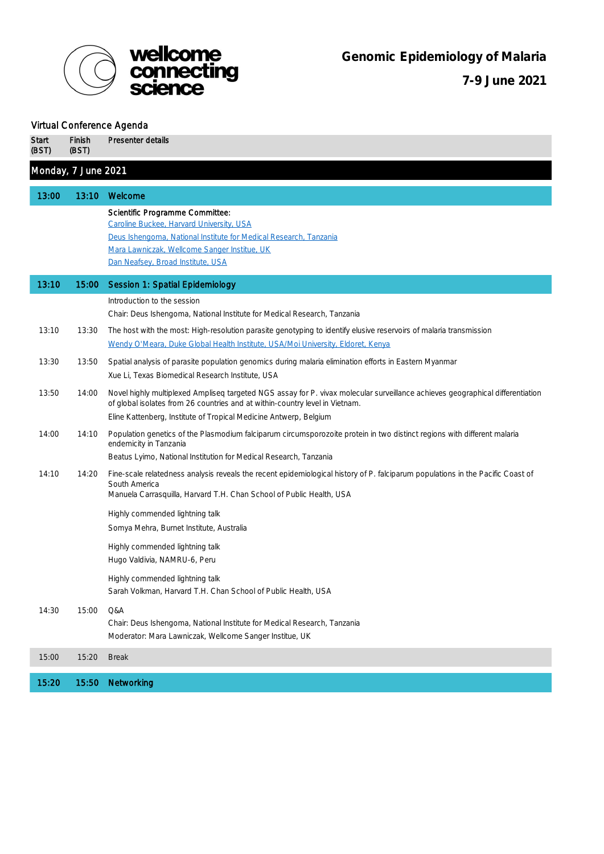

## *Virtual Conference Agenda* **Start** (BST) Finish (BST) Presenter details Monday, 7 June 2021 13:00 13:10 Welcome *Scientific Programme Committee: [Caroline Buckee, Harvard University, USA](https://www.hsph.harvard.edu/caroline-buckee) [Deus Ishengoma, National Institute for Medical Research, Tanzania](https://www.cggh.org/who-we-are/dr-deus-ishengoma) [Mara Lawniczak, Wellcome Sanger Institue, UK](https://www.sanger.ac.uk/person/lawniczak-mara-k-n/) [Dan Neafsey, Broad Institute, USA](https://www.broadinstitute.org/bios/daniel-neafsey)* 13:10 15:00 Session 1: Spatial Epidemiology Introduction to the session *Chair: Deus Ishengoma, National Institute for Medical Research, Tanzania* 13:10 13:30 The host with the most: High-resolution parasite genotyping to identify elusive reservoirs of malaria transmission *[Wendy O'Meara, Duke Global Health Institute, USA/Moi University, Eldoret, Kenya](https://globalhealth.duke.edu/people/prudhomme-omeara-wendy)* 13:30 13:50 Spatial analysis of parasite population genomics during malaria elimination efforts in Eastern Myanmar *Xue Li, Texas Biomedical Research Institute, USA* 13:50 14:00 Novel highly multiplexed Ampliseq targeted NGS assay for P. vivax molecular surveillance achieves geographical differentiation of global isolates from 26 countries and at within-country level in Vietnam. *Eline Kattenberg, Institute of Tropical Medicine Antwerp, Belgium* 14:00 14:10 Population genetics of the Plasmodium falciparum circumsporozoite protein in two distinct regions with different malaria endemicity in Tanzania *Beatus Lyimo, National Institution for Medical Research, Tanzania* 14:10 14:20 Fine-scale relatedness analysis reveals the recent epidemiological history of P. falciparum populations in the Pacific Coast of South America *Manuela Carrasquilla, Harvard T.H. Chan School of Public Health, USA* Highly commended lightning talk *Somya Mehra, Burnet Institute, Australia* Highly commended lightning talk *Hugo Valdivia, NAMRU-6, Peru* Highly commended lightning talk *Sarah Volkman, Harvard T.H. Chan School of Public Health, USA* 14:30 15:00 Q&A *Chair: Deus Ishengoma, National Institute for Medical Research, Tanzania Moderator: Mara Lawniczak, Wellcome Sanger Institue, UK* 15:00 15:20 Break 15:20 15:50 Networking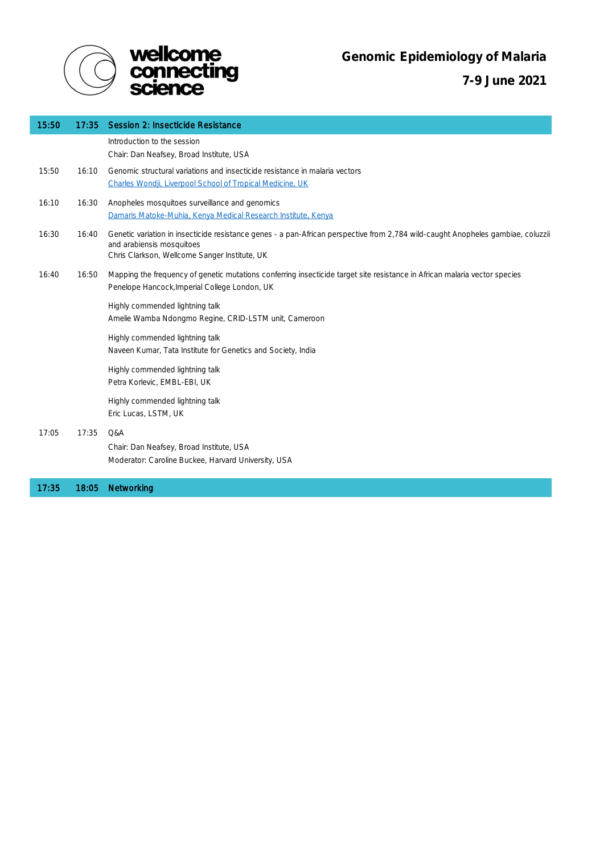

 **7-9 June 2021**

| 15:50 | 17:35 | Session 2: Insecticide Resistance                                                                                                                                                                              |
|-------|-------|----------------------------------------------------------------------------------------------------------------------------------------------------------------------------------------------------------------|
|       |       | Introduction to the session<br>Chair: Dan Neafsey, Broad Institute, USA                                                                                                                                        |
| 15:50 | 16:10 | Genomic structural variations and insecticide resistance in malaria vectors<br>Charles Wondji, Liverpool School of Tropical Medicine, UK                                                                       |
| 16:10 | 16:30 | Anopheles mosquitoes surveillance and genomics<br>Damaris Matoke-Muhia, Kenya Medical Research Institute, Kenya                                                                                                |
| 16:30 | 16:40 | Genetic variation in insecticide resistance genes - a pan-African perspective from 2,784 wild-caught Anopheles gambiae, coluzzii<br>and arabiensis mosquitoes<br>Chris Clarkson, Wellcome Sanger Institute, UK |
| 16:40 | 16:50 | Mapping the frequency of genetic mutations conferring insecticide target site resistance in African malaria vector species<br>Penelope Hancock, Imperial College London, UK                                    |
|       |       | Highly commended lightning talk<br>Amelie Wamba Ndongmo Regine, CRID-LSTM unit, Cameroon                                                                                                                       |
|       |       | Highly commended lightning talk<br>Naveen Kumar, Tata Institute for Genetics and Society, India                                                                                                                |
|       |       | Highly commended lightning talk<br>Petra Korlevic, EMBL-EBI, UK                                                                                                                                                |
|       |       | Highly commended lightning talk<br>Eric Lucas, LSTM, UK                                                                                                                                                        |
| 17:05 | 17:35 | Q&A<br>Chair: Dan Neafsey, Broad Institute, USA<br>Moderator: Caroline Buckee, Harvard University, USA                                                                                                         |
| 17:35 | 18:05 | Networking                                                                                                                                                                                                     |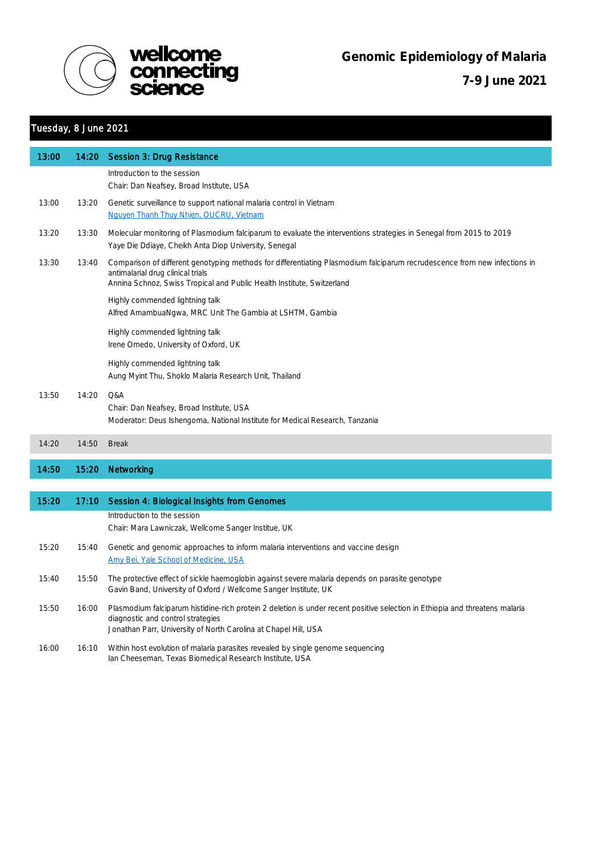



 **7-9 June 2021**

## Tuesday, 8 June 2021

| 13:00 | 14:20 | Session 3: Drug Resistance                                                                                                                                                                                                               |
|-------|-------|------------------------------------------------------------------------------------------------------------------------------------------------------------------------------------------------------------------------------------------|
|       |       | Introduction to the session<br>Chair: Dan Neafsey, Broad Institute, USA                                                                                                                                                                  |
| 13:00 | 13:20 | Genetic surveillance to support national malaria control in Vietnam<br>Nguyen Thanh Thuy Nhien, OUCRU, Vietnam                                                                                                                           |
| 13:20 | 13:30 | Molecular monitoring of Plasmodium falciparum to evaluate the interventions strategies in Senegal from 2015 to 2019<br>Yaye Die Ddiaye, Cheikh Anta Diop University, Senegal                                                             |
| 13:30 | 13:40 | Comparison of different genotyping methods for differentiating Plasmodium falciparum recrudescence from new infections in<br>antimalarial drug clinical trials<br>Annina Schnoz, Swiss Tropical and Public Health Institute, Switzerland |
|       |       | Highly commended lightning talk<br>Alfred AmambuaNgwa, MRC Unit The Gambia at LSHTM, Gambia                                                                                                                                              |
|       |       | Highly commended lightning talk<br>Irene Omedo, University of Oxford, UK                                                                                                                                                                 |
|       |       | Highly commended lightning talk<br>Aung Myint Thu, Shoklo Malaria Research Unit, Thailand                                                                                                                                                |
| 13:50 | 14:20 | Q&A<br>Chair: Dan Neafsey, Broad Institute, USA<br>Moderator: Deus Ishengoma, National Institute for Medical Research, Tanzania                                                                                                          |
| 14:20 | 14:50 | <b>Break</b>                                                                                                                                                                                                                             |
| 14:50 | 15:20 | Networking                                                                                                                                                                                                                               |
|       |       |                                                                                                                                                                                                                                          |
| 15:20 |       | 17:10 Session 4: Biological Insights from Genomes                                                                                                                                                                                        |
|       |       | Introduction to the session<br>Chair: Mara Lawniczak, Wellcome Sanger Institue, UK                                                                                                                                                       |
| 15:20 | 15:40 | Genetic and genomic approaches to inform malaria interventions and vaccine design<br>Amy Bei, Yale School of Medicine, USA                                                                                                               |
| 15:40 | 15:50 | The protective effect of sickle haemoglobin against severe malaria depends on parasite genotype<br>Gavin Band, University of Oxford / Wellcome Sanger Institute, UK                                                                      |
| 15:50 | 16:00 | Plasmodium falciparum histidine-rich protein 2 deletion is under recent positive selection in Ethiopia and threatens malaria<br>diagnostic and control strategies<br>Jonathan Parr, University of North Carolina at Chapel Hill, USA     |
| 16:00 | 16:10 | Within host evolution of malaria parasites revealed by single genome sequencing<br>Ian Cheeseman, Texas Biomedical Research Institute, USA                                                                                               |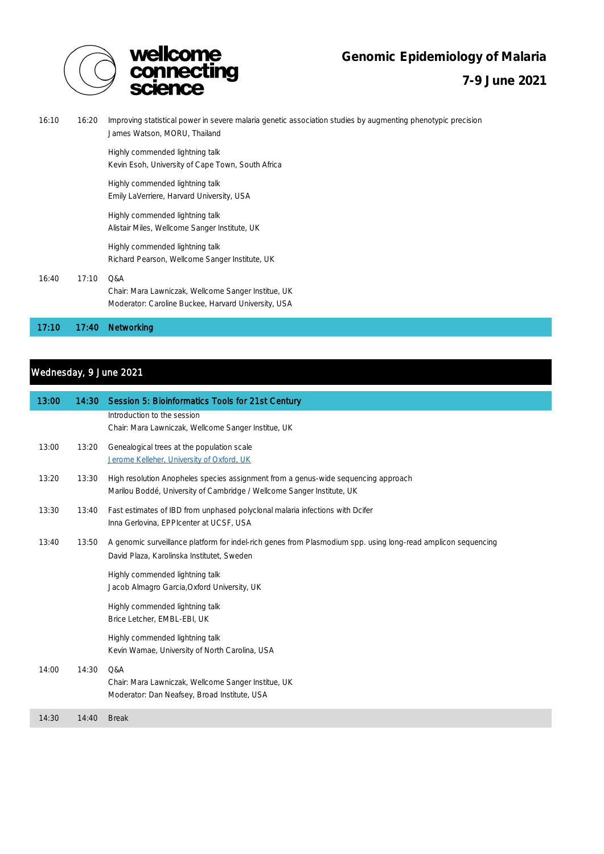

**Genomic Epidemiology of Malaria** 

 **7-9 June 2021**

| 16:10 | 16:20 | Improving statistical power in severe malaria genetic association studies by augmenting phenotypic precision<br>James Watson, MORU, Thailand |
|-------|-------|----------------------------------------------------------------------------------------------------------------------------------------------|
|       |       | Highly commended lightning talk<br>Kevin Esoh, University of Cape Town, South Africa                                                         |
|       |       | Highly commended lightning talk<br>Emily LaVerriere, Harvard University, USA                                                                 |
|       |       | Highly commended lightning talk<br>Alistair Miles, Wellcome Sanger Institute, UK                                                             |
|       |       | Highly commended lightning talk<br>Richard Pearson, Wellcome Sanger Institute, UK                                                            |
| 16:40 | 17:10 | Q&A<br>Chair: Mara Lawniczak, Wellcome Sanger Institue, UK<br>Moderator: Caroline Buckee, Harvard University, USA                            |
| 17:10 | 17:40 | Networking                                                                                                                                   |

## Wednesday, 9 June 2021

| 13:00 | 14:30 | Session 5: Bioinformatics Tools for 21st Century                                                                                                             |
|-------|-------|--------------------------------------------------------------------------------------------------------------------------------------------------------------|
|       |       | Introduction to the session<br>Chair: Mara Lawniczak, Wellcome Sanger Institue, UK                                                                           |
| 13:00 | 13:20 | Genealogical trees at the population scale<br>Jerome Kelleher, University of Oxford, UK                                                                      |
| 13:20 | 13:30 | High resolution Anopheles species assignment from a genus-wide sequencing approach<br>Marilou Boddé, University of Cambridge / Wellcome Sanger Institute, UK |
| 13:30 | 13:40 | Fast estimates of IBD from unphased polyclonal malaria infections with Dcifer<br>Inna Gerlovina, EPPIcenter at UCSF, USA                                     |
| 13:40 | 13:50 | A genomic surveillance platform for indel-rich genes from Plasmodium spp. using long-read amplicon sequencing<br>David Plaza, Karolinska Institutet, Sweden  |
|       |       | Highly commended lightning talk<br>Jacob Almagro Garcia, Oxford University, UK                                                                               |
|       |       | Highly commended lightning talk<br>Brice Letcher, EMBL-EBI, UK                                                                                               |
|       |       | Highly commended lightning talk<br>Kevin Wamae, University of North Carolina, USA                                                                            |
| 14:00 | 14:30 | Q&A<br>Chair: Mara Lawniczak, Wellcome Sanger Institue, UK<br>Moderator: Dan Neafsey, Broad Institute, USA                                                   |
| 14:30 | 14:40 | <b>Break</b>                                                                                                                                                 |